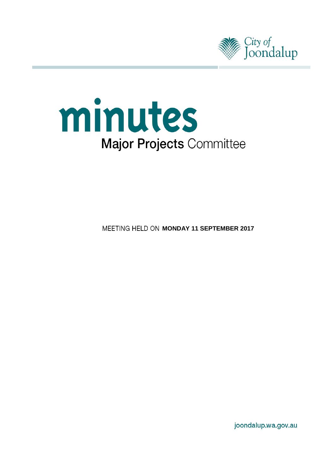



**MEETING HELD ON MONDAY 11 SEPTEMBER 2017** 

joondalup.wa.gov.au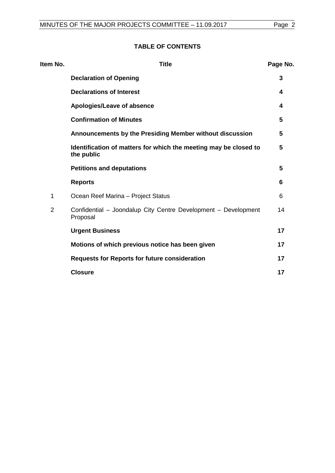# **TABLE OF CONTENTS**

| Item No.       | <b>Title</b>                                                                   | Page No. |
|----------------|--------------------------------------------------------------------------------|----------|
|                | <b>Declaration of Opening</b>                                                  | 3        |
|                | <b>Declarations of Interest</b>                                                | 4        |
|                | Apologies/Leave of absence                                                     | 4        |
|                | <b>Confirmation of Minutes</b>                                                 | 5        |
|                | Announcements by the Presiding Member without discussion                       | 5        |
|                | Identification of matters for which the meeting may be closed to<br>the public | 5        |
|                | <b>Petitions and deputations</b>                                               | 5        |
|                | <b>Reports</b>                                                                 | 6        |
| 1              | Ocean Reef Marina - Project Status                                             | 6        |
| $\overline{2}$ | Confidential - Joondalup City Centre Development - Development<br>Proposal     | 14       |
|                | <b>Urgent Business</b>                                                         | 17       |
|                | Motions of which previous notice has been given                                | 17       |
|                | <b>Requests for Reports for future consideration</b>                           | 17       |
|                | <b>Closure</b>                                                                 | 17       |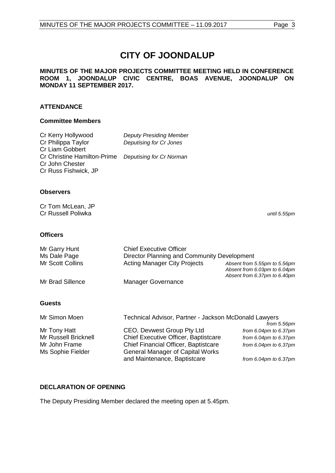# **CITY OF JOONDALUP**

#### **MINUTES OF THE MAJOR PROJECTS COMMITTEE MEETING HELD IN CONFERENCE ROOM 1, JOONDALUP CIVIC CENTRE, BOAS AVENUE, JOONDALUP ON MONDAY 11 SEPTEMBER 2017.**

# **ATTENDANCE**

#### **Committee Members**

| Cr Kerry Hollywood                                   | <b>Deputy Presiding Member</b> |
|------------------------------------------------------|--------------------------------|
| Cr Philippa Taylor                                   | Deputising for Cr Jones        |
| Cr Liam Gobbert                                      |                                |
| Cr Christine Hamilton-Prime Deputising for Cr Norman |                                |
| Cr John Chester                                      |                                |
| Cr Russ Fishwick, JP                                 |                                |

### **Observers**

Cr Tom McLean, JP Cr Russell Poliwka *until 5.55pm*

#### **Officers**

| Mr Garry Hunt    | <b>Chief Executive Officer</b>              |                                                                                              |
|------------------|---------------------------------------------|----------------------------------------------------------------------------------------------|
| Ms Dale Page     | Director Planning and Community Development |                                                                                              |
| Mr Scott Collins | <b>Acting Manager City Projects</b>         | Absent from 5.55pm to 5.56pm<br>Absent from 6.03pm to 6.04pm<br>Absent from 6.37pm to 6.40pm |
| Mr Brad Sillence | <b>Manager Governance</b>                   |                                                                                              |

### **Guests**

| Mr Simon Moen        | Technical Advisor, Partner - Jackson McDonald Lawyers |                             |
|----------------------|-------------------------------------------------------|-----------------------------|
|                      |                                                       | from 5.56pm                 |
| Mr Tony Hatt         | CEO, Devwest Group Pty Ltd                            | from $6.04$ pm to $6.37$ pm |
| Mr Russell Bricknell | Chief Executive Officer, Baptistcare                  | from $6.04$ pm to $6.37$ pm |
| Mr John Frame        | Chief Financial Officer, Baptistcare                  | from $6.04$ pm to $6.37$ pm |
| Ms Sophie Fielder    | <b>General Manager of Capital Works</b>               |                             |
|                      | and Maintenance, Baptistcare                          | from $6.04$ pm to $6.37$ pm |

### <span id="page-2-0"></span>**DECLARATION OF OPENING**

The Deputy Presiding Member declared the meeting open at 5.45pm.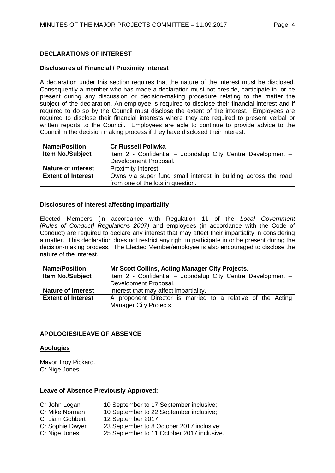# <span id="page-3-0"></span>**DECLARATIONS OF INTEREST**

### **Disclosures of Financial / Proximity Interest**

A declaration under this section requires that the nature of the interest must be disclosed. Consequently a member who has made a declaration must not preside, participate in, or be present during any discussion or decision-making procedure relating to the matter the subject of the declaration. An employee is required to disclose their financial interest and if required to do so by the Council must disclose the extent of the interest. Employees are required to disclose their financial interests where they are required to present verbal or written reports to the Council. Employees are able to continue to provide advice to the Council in the decision making process if they have disclosed their interest.

| <b>Name/Position</b>      | <b>Cr Russell Poliwka</b>                                      |  |  |
|---------------------------|----------------------------------------------------------------|--|--|
| <b>Item No./Subject</b>   | Item 2 - Confidential - Joondalup City Centre Development -    |  |  |
|                           | Development Proposal.                                          |  |  |
| <b>Nature of interest</b> | <b>Proximity Interest</b>                                      |  |  |
| <b>Extent of Interest</b> | Owns via super fund small interest in building across the road |  |  |
|                           | from one of the lots in question.                              |  |  |

# **Disclosures of interest affecting impartiality**

Elected Members (in accordance with Regulation 11 of the *Local Government [Rules of Conduct] Regulations 2007)* and employees (in accordance with the Code of Conduct) are required to declare any interest that may affect their impartiality in considering a matter. This declaration does not restrict any right to participate in or be present during the decision-making process. The Elected Member/employee is also encouraged to disclose the nature of the interest.

| <b>Name/Position</b>      | Mr Scott Collins, Acting Manager City Projects.             |
|---------------------------|-------------------------------------------------------------|
| <b>Item No./Subject</b>   | Item 2 - Confidential - Joondalup City Centre Development - |
|                           | Development Proposal.                                       |
| <b>Nature of interest</b> | Interest that may affect impartiality.                      |
| <b>Extent of Interest</b> | A proponent Director is married to a relative of the Acting |
|                           | Manager City Projects.                                      |

# <span id="page-3-1"></span>**APOLOGIES/LEAVE OF ABSENCE**

### **Apologies**

Mayor Troy Pickard. Cr Nige Jones.

### **Leave of Absence Previously Approved:**

- Cr John Logan 10 September to 17 September inclusive;<br>Cr Mike Norman 10 September to 22 September inclusive;
- Cr Mike Norman 10 September to 22 September inclusive;<br>Cr Liam Gobbert 12 September 2017:
	- 12 September 2017;
- Cr Sophie Dwyer 23 September to 8 October 2017 inclusive; Cr Nige Jones 25 September to 11 October 2017 inclusive.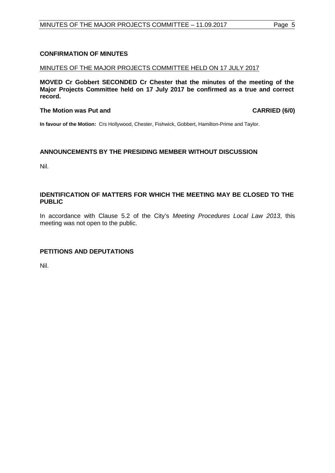# <span id="page-4-0"></span>**CONFIRMATION OF MINUTES**

# MINUTES OF THE MAJOR PROJECTS COMMITTEE HELD ON 17 JULY 2017

**MOVED Cr Gobbert SECONDED Cr Chester that the minutes of the meeting of the Major Projects Committee held on 17 July 2017 be confirmed as a true and correct record.**

# **The Motion was Put and CARRIED (6/0)**

**In favour of the Motion:** Crs Hollywood, Chester, Fishwick, Gobbert, Hamilton-Prime and Taylor.

# <span id="page-4-1"></span>**ANNOUNCEMENTS BY THE PRESIDING MEMBER WITHOUT DISCUSSION**

Nil.

# <span id="page-4-2"></span>**IDENTIFICATION OF MATTERS FOR WHICH THE MEETING MAY BE CLOSED TO THE PUBLIC**

In accordance with Clause 5.2 of the City's *Meeting Procedures Local Law 2013*, this meeting was not open to the public.

# <span id="page-4-3"></span>**PETITIONS AND DEPUTATIONS**

Nil.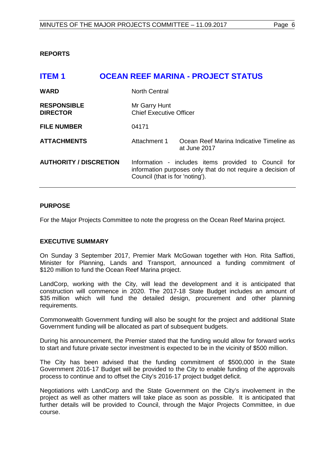<span id="page-5-0"></span>**REPORTS**

<span id="page-5-1"></span>

| <b>ITEM1</b>                          |                                                 | <b>OCEAN REEF MARINA - PROJECT STATUS</b>                                                                           |
|---------------------------------------|-------------------------------------------------|---------------------------------------------------------------------------------------------------------------------|
| <b>WARD</b>                           | <b>North Central</b>                            |                                                                                                                     |
| <b>RESPONSIBLE</b><br><b>DIRECTOR</b> | Mr Garry Hunt<br><b>Chief Executive Officer</b> |                                                                                                                     |
| <b>FILE NUMBER</b>                    | 04171                                           |                                                                                                                     |
| <b>ATTACHMENTS</b>                    | Attachment 1                                    | Ocean Reef Marina Indicative Timeline as<br>at June 2017                                                            |
| <b>AUTHORITY / DISCRETION</b>         | Council (that is for 'noting').                 | Information - includes items provided to Council for<br>information purposes only that do not require a decision of |

### **PURPOSE**

For the Major Projects Committee to note the progress on the Ocean Reef Marina project.

#### **EXECUTIVE SUMMARY**

On Sunday 3 September 2017, Premier Mark McGowan together with Hon. Rita Saffioti, Minister for Planning, Lands and Transport, announced a funding commitment of \$120 million to fund the Ocean Reef Marina project.

LandCorp, working with the City, will lead the development and it is anticipated that construction will commence in 2020. The 2017-18 State Budget includes an amount of \$35 million which will fund the detailed design, procurement and other planning requirements.

Commonwealth Government funding will also be sought for the project and additional State Government funding will be allocated as part of subsequent budgets.

During his announcement, the Premier stated that the funding would allow for forward works to start and future private sector investment is expected to be in the vicinity of \$500 million.

The City has been advised that the funding commitment of \$500,000 in the State Government 2016-17 Budget will be provided to the City to enable funding of the approvals process to continue and to offset the City's 2016-17 project budget deficit.

Negotiations with LandCorp and the State Government on the City's involvement in the project as well as other matters will take place as soon as possible. It is anticipated that further details will be provided to Council, through the Major Projects Committee, in due course.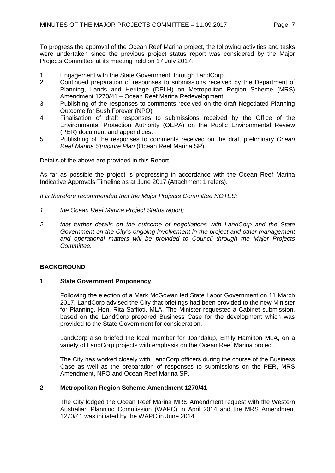To progress the approval of the Ocean Reef Marina project, the following activities and tasks were undertaken since the previous project status report was considered by the Major Projects Committee at its meeting held on 17 July 2017:

- 1 Engagement with the State Government, through LandCorp.<br>2 Continued preparation of responses to submissions receive
- 2 Continued preparation of responses to submissions received by the Department of Planning, Lands and Heritage (DPLH) on Metropolitan Region Scheme (MRS) Amendment 1270/41 – Ocean Reef Marina Redevelopment.
- 3 Publishing of the responses to comments received on the draft Negotiated Planning Outcome for Bush Forever (NPO).
- 4 Finalisation of draft responses to submissions received by the Office of the Environmental Protection Authority (OEPA) on the Public Environmental Review (PER) document and appendices.
- 5 Publishing of the responses to comments received on the draft preliminary *Ocean Reef Marina Structure Plan* (Ocean Reef Marina SP).

Details of the above are provided in this Report.

As far as possible the project is progressing in accordance with the Ocean Reef Marina Indicative Approvals Timeline as at June 2017 (Attachment 1 refers).

*It is therefore recommended that the Major Projects Committee NOTES:*

- *1 the Ocean Reef Marina Project Status report;*
- *2 that further details on the outcome of negotiations with LandCorp and the State Government on the City's ongoing involvement in the project and other management and operational matters will be provided to Council through the Major Projects Committee.*

### **BACKGROUND**

#### **1 State Government Proponency**

Following the election of a Mark McGowan led State Labor Government on 11 March 2017, LandCorp advised the City that briefings had been provided to the new Minister for Planning, Hon. Rita Saffioti, MLA. The Minister requested a Cabinet submission, based on the LandCorp prepared Business Case for the development which was provided to the State Government for consideration.

LandCorp also briefed the local member for Joondalup, Emily Hamilton MLA, on a variety of LandCorp projects with emphasis on the Ocean Reef Marina project.

The City has worked closely with LandCorp officers during the course of the Business Case as well as the preparation of responses to submissions on the PER, MRS Amendment, NPO and Ocean Reef Marina SP.

### **2 Metropolitan Region Scheme Amendment 1270/41**

The City lodged the Ocean Reef Marina MRS Amendment request with the Western Australian Planning Commission (WAPC) in April 2014 and the MRS Amendment 1270/41 was initiated by the WAPC in June 2014.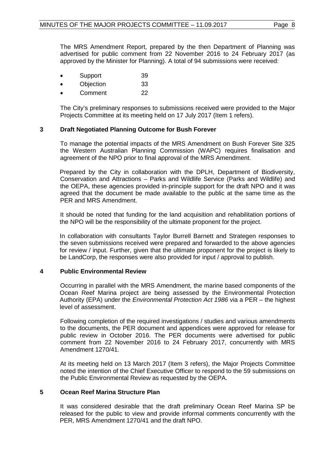The MRS Amendment Report, prepared by the then Department of Planning was advertised for public comment from 22 November 2016 to 24 February 2017 (as approved by the Minister for Planning). A total of 94 submissions were received:

- Support 39
- Objection 33
- Comment 22

The City's preliminary responses to submissions received were provided to the Major Projects Committee at its meeting held on 17 July 2017 (Item 1 refers).

# **3 Draft Negotiated Planning Outcome for Bush Forever**

To manage the potential impacts of the MRS Amendment on Bush Forever Site 325 the Western Australian Planning Commission (WAPC) requires finalisation and agreement of the NPO prior to final approval of the MRS Amendment.

Prepared by the City in collaboration with the DPLH, Department of Biodiversity, Conservation and Attractions – Parks and Wildlife Service (Parks and Wildlife) and the OEPA, these agencies provided in-principle support for the draft NPO and it was agreed that the document be made available to the public at the same time as the PER and MRS Amendment.

It should be noted that funding for the land acquisition and rehabilitation portions of the NPO will be the responsibility of the ultimate proponent for the project.

In collaboration with consultants Taylor Burrell Barnett and Strategen responses to the seven submissions received were prepared and forwarded to the above agencies for review / input. Further, given that the ultimate proponent for the project is likely to be LandCorp, the responses were also provided for input / approval to publish.

### **4 Public Environmental Review**

Occurring in parallel with the MRS Amendment, the marine based components of the Ocean Reef Marina project are being assessed by the Environmental Protection Authority (EPA) under the *Environmental Protection Act 1986* via a PER – the highest level of assessment.

Following completion of the required investigations / studies and various amendments to the documents, the PER document and appendices were approved for release for public review in October 2016. The PER documents were advertised for public comment from 22 November 2016 to 24 February 2017, concurrently with MRS Amendment 1270/41.

At its meeting held on 13 March 2017 (Item 3 refers), the Major Projects Committee noted the intention of the Chief Executive Officer to respond to the 59 submissions on the Public Environmental Review as requested by the OEPA.

### **5 Ocean Reef Marina Structure Plan**

It was considered desirable that the draft preliminary Ocean Reef Marina SP be released for the public to view and provide informal comments concurrently with the PER, MRS Amendment 1270/41 and the draft NPO.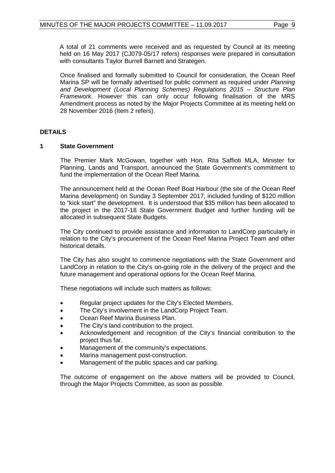A total of 21 comments were received and as requested by Council at its meeting held on 16 May 2017 (CJ079-05/17 refers) responses were prepared in consultation with consultants Taylor Burrell Barnett and Strategen.

Once finalised and formally submitted to Council for consideration, the Ocean Reef Marina SP will be formally advertised for public comment as required under *Planning and Development (Local Planning Schemes) Regulations 2015 – Structure Plan Framework.* However this can only occur following finalisation of the MRS Amendment process as noted by the Major Projects Committee at its meeting held on 28 November 2016 (Item 2 refers).

# **DETAILS**

#### **1 State Government**

The Premier Mark McGowan, together with Hon. Rita Saffioti MLA, Minister for Planning, Lands and Transport, announced the State Government's commitment to fund the implementation of the Ocean Reef Marina.

The announcement held at the Ocean Reef Boat Harbour (the site of the Ocean Reef Marina development) on Sunday 3 September 2017, included funding of \$120 million to "kick start" the development. It is understood that \$35 million has been allocated to the project in the 2017-18 State Government Budget and further funding will be allocated in subsequent State Budgets.

The City continued to provide assistance and information to LandCorp particularly in relation to the City's procurement of the Ocean Reef Marina Project Team and other historical details.

The City has also sought to commence negotiations with the State Government and LandCorp in relation to the City's on-going role in the delivery of the project and the future management and operational options for the Ocean Reef Marina.

These negotiations will include such matters as follows:

- Regular project updates for the City's Elected Members.
- The City's involvement in the LandCorp Project Team.
- Ocean Reef Marina Business Plan.
- The City's land contribution to the project.
- Acknowledgement and recognition of the City's financial contribution to the project thus far.
- Management of the community's expectations.
- Marina management post-construction.
- Management of the public spaces and car parking.

The outcome of engagement on the above matters will be provided to Council, through the Major Projects Committee, as soon as possible.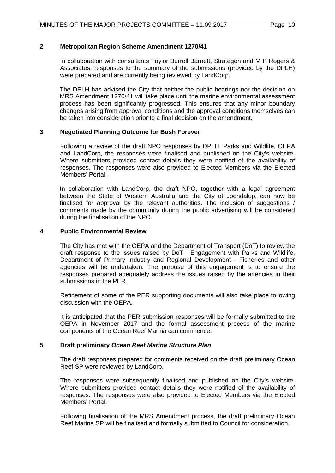### **2 Metropolitan Region Scheme Amendment 1270/41**

In collaboration with consultants Taylor Burrell Barnett, Strategen and M P Rogers & Associates, responses to the summary of the submissions (provided by the DPLH) were prepared and are currently being reviewed by LandCorp.

The DPLH has advised the City that neither the public hearings nor the decision on MRS Amendment 1270/41 will take place until the marine environmental assessment process has been significantly progressed. This ensures that any minor boundary changes arising from approval conditions and the approval conditions themselves can be taken into consideration prior to a final decision on the amendment.

# **3 Negotiated Planning Outcome for Bush Forever**

Following a review of the draft NPO responses by DPLH, Parks and Wildlife, OEPA and LandCorp, the responses were finalised and published on the City's website. Where submitters provided contact details they were notified of the availability of responses. The responses were also provided to Elected Members via the Elected Members' Portal.

In collaboration with LandCorp, the draft NPO, together with a legal agreement between the State of Western Australia and the City of Joondalup, can now be finalised for approval by the relevant authorities. The inclusion of suggestions / comments made by the community during the public advertising will be considered during the finalisation of the NPO.

### **4 Public Environmental Review**

The City has met with the OEPA and the Department of Transport (DoT) to review the draft response to the issues raised by DoT. Engagement with Parks and Wildlife, Department of Primary Industry and Regional Development - Fisheries and other agencies will be undertaken. The purpose of this engagement is to ensure the responses prepared adequately address the issues raised by the agencies in their submissions in the PER.

Refinement of some of the PER supporting documents will also take place following discussion with the OEPA.

It is anticipated that the PER submission responses will be formally submitted to the OEPA in November 2017 and the formal assessment process of the marine components of the Ocean Reef Marina can commence.

### **5 Draft preliminary** *Ocean Reef Marina Structure Plan*

The draft responses prepared for comments received on the draft preliminary Ocean Reef SP were reviewed by LandCorp.

The responses were subsequently finalised and published on the City's website. Where submitters provided contact details they were notified of the availability of responses. The responses were also provided to Elected Members via the Elected Members' Portal.

Following finalisation of the MRS Amendment process, the draft preliminary Ocean Reef Marina SP will be finalised and formally submitted to Council for consideration.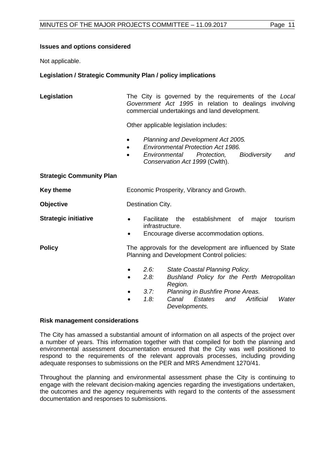#### **Issues and options considered**

Not applicable.

### **Legislation / Strategic Community Plan / policy implications**

| Legislation                     | The City is governed by the requirements of the Local<br>Government Act 1995 in relation to dealings involving<br>commercial undertakings and land development.                                                 |         |
|---------------------------------|-----------------------------------------------------------------------------------------------------------------------------------------------------------------------------------------------------------------|---------|
|                                 | Other applicable legislation includes:                                                                                                                                                                          |         |
|                                 | Planning and Development Act 2005.<br>$\bullet$<br><b>Environmental Protection Act 1986.</b><br>$\bullet$<br>Environmental<br>Protection,<br><b>Biodiversity</b><br>$\bullet$<br>Conservation Act 1999 (Cwlth). | and     |
| <b>Strategic Community Plan</b> |                                                                                                                                                                                                                 |         |
| <b>Key theme</b>                | Economic Prosperity, Vibrancy and Growth.                                                                                                                                                                       |         |
| <b>Objective</b>                | Destination City.                                                                                                                                                                                               |         |
| <b>Strategic initiative</b>     | Facilitate<br>the establishment<br>of<br>major<br>infrastructure.<br>Encourage diverse accommodation options.                                                                                                   | tourism |
| <b>Policy</b>                   | The approvals for the development are influenced by State<br>Planning and Development Control policies:                                                                                                         |         |
|                                 | 2.6:<br>State Coastal Planning Policy.<br>٠<br>Bushland Policy for the Perth Metropolitan<br>2.8:<br>Region.                                                                                                    |         |
|                                 | 3.7:<br>Planning in Bushfire Prone Areas.<br>Canal<br>1.8:<br>Artificial<br>Estates<br>and<br>Developments.                                                                                                     | Water   |

#### **Risk management considerations**

The City has amassed a substantial amount of information on all aspects of the project over a number of years. This information together with that compiled for both the planning and environmental assessment documentation ensured that the City was well positioned to respond to the requirements of the relevant approvals processes, including providing adequate responses to submissions on the PER and MRS Amendment 1270/41.

Throughout the planning and environmental assessment phase the City is continuing to engage with the relevant decision-making agencies regarding the investigations undertaken, the outcomes and the agency requirements with regard to the contents of the assessment documentation and responses to submissions.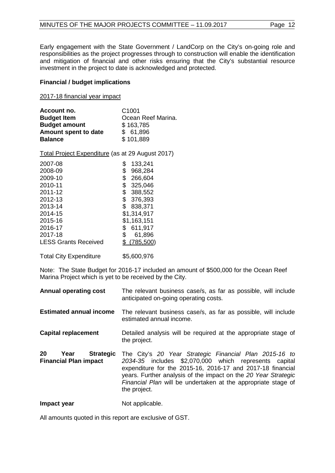Early engagement with the State Government / LandCorp on the City's on-going role and responsibilities as the project progresses through to construction will enable the identification and mitigation of financial and other risks ensuring that the City's substantial resource investment in the project to date is acknowledged and protected.

#### **Financial / budget implications**

2017-18 financial year impact

| Account no.          | C <sub>1001</sub>  |
|----------------------|--------------------|
| <b>Budget Item</b>   | Ocean Reef Marina. |
| <b>Budget amount</b> | \$163,785          |
| Amount spent to date | \$61,896           |
| <b>Balance</b>       | \$101,889          |

Total Project Expenditure (as at 29 August 2017)

| 2007-08                     |    | 133,241     |
|-----------------------------|----|-------------|
| 2008-09                     | \$ | 968,284     |
| 2009-10                     | \$ | 266,604     |
| 2010-11                     | \$ | 325,046     |
| 2011-12                     | \$ | 388,552     |
| 2012-13                     | \$ | 376,393     |
| 2013-14                     | \$ | 838,371     |
| 2014-15                     |    | \$1,314,917 |
| 2015-16                     |    | \$1,163,151 |
| 2016-17                     | S. | 611,917     |
| 2017-18                     | S  | 61,896      |
| <b>LESS Grants Received</b> |    | \$(785,500) |
|                             |    |             |
|                             |    |             |

Total City Expenditure \$5,600,976

Note: The State Budget for 2016-17 included an amount of \$500,000 for the Ocean Reef Marina Project which is yet to be received by the City.

| <b>Annual operating cost</b>                                   | The relevant business case/s, as far as possible, will include<br>anticipated on-going operating costs.                                                                                                                                                                                                                          |
|----------------------------------------------------------------|----------------------------------------------------------------------------------------------------------------------------------------------------------------------------------------------------------------------------------------------------------------------------------------------------------------------------------|
| <b>Estimated annual income</b>                                 | The relevant business case/s, as far as possible, will include<br>estimated annual income.                                                                                                                                                                                                                                       |
| <b>Capital replacement</b>                                     | Detailed analysis will be required at the appropriate stage of<br>the project.                                                                                                                                                                                                                                                   |
| 20<br><b>Strategic</b><br>Year<br><b>Financial Plan impact</b> | The City's 20 Year Strategic Financial Plan 2015-16 to<br>2034-35 includes \$2,070,000 which represents capital<br>expenditure for the 2015-16, 2016-17 and 2017-18 financial<br>years. Further analysis of the impact on the 20 Year Strategic<br>Financial Plan will be undertaken at the appropriate stage of<br>the project. |
| Impact year                                                    | Not applicable.                                                                                                                                                                                                                                                                                                                  |

All amounts quoted in this report are exclusive of GST.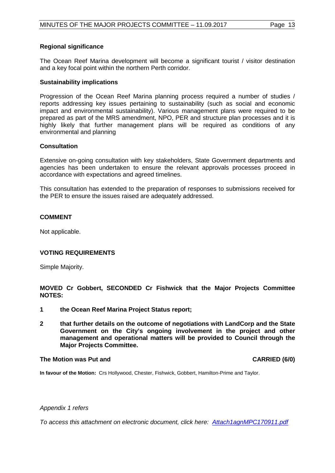#### **Regional significance**

The Ocean Reef Marina development will become a significant tourist / visitor destination and a key focal point within the northern Perth corridor.

#### **Sustainability implications**

Progression of the Ocean Reef Marina planning process required a number of studies / reports addressing key issues pertaining to sustainability (such as social and economic impact and environmental sustainability). Various management plans were required to be prepared as part of the MRS amendment, NPO, PER and structure plan processes and it is highly likely that further management plans will be required as conditions of any environmental and planning

#### **Consultation**

Extensive on-going consultation with key stakeholders, State Government departments and agencies has been undertaken to ensure the relevant approvals processes proceed in accordance with expectations and agreed timelines.

This consultation has extended to the preparation of responses to submissions received for the PER to ensure the issues raised are adequately addressed.

#### **COMMENT**

Not applicable.

### **VOTING REQUIREMENTS**

Simple Majority.

**MOVED Cr Gobbert, SECONDED Cr Fishwick that the Major Projects Committee NOTES:**

- **1 the Ocean Reef Marina Project Status report;**
- **2 that further details on the outcome of negotiations with LandCorp and the State Government on the City's ongoing involvement in the project and other management and operational matters will be provided to Council through the Major Projects Committee.**

#### **The Motion was Put and CARRIED (6/0)**

**In favour of the Motion:** Crs Hollywood, Chester, Fishwick, Gobbert, Hamilton-Prime and Taylor.

#### *Appendix 1 refers*

*[To access this attachment on electronic document, click here: Attach1agnMPC170911.pdf](Attach1agnMPC170911.pdf)*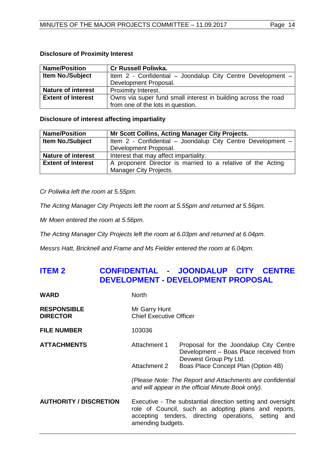### <span id="page-13-0"></span>**Disclosure of Proximity Interest**

| <b>Name/Position</b>      | <b>Cr Russell Poliwka.</b>                                     |  |
|---------------------------|----------------------------------------------------------------|--|
| <b>Item No./Subject</b>   | Item 2 - Confidential - Joondalup City Centre Development -    |  |
|                           | Development Proposal.                                          |  |
| <b>Nature of interest</b> | Proximity Interest.                                            |  |
| <b>Extent of Interest</b> | Owns via super fund small interest in building across the road |  |
|                           | from one of the lots in question.                              |  |

### **Disclosure of interest affecting impartiality**

| <b>Name/Position</b>      | Mr Scott Collins, Acting Manager City Projects.             |
|---------------------------|-------------------------------------------------------------|
| <b>Item No./Subject</b>   | Item 2 - Confidential - Joondalup City Centre Development - |
|                           | Development Proposal.                                       |
| <b>Nature of interest</b> | Interest that may affect impartiality.                      |
| <b>Extent of Interest</b> | A proponent Director is married to a relative of the Acting |
|                           | Manager City Projects.                                      |

*Cr Poliwka left the room at 5.55pm.*

*The Acting Manager City Projects left the room at 5.55pm and returned at 5.56pm.*

*Mr Moen entered the room at 5.56pm.*

*The Acting Manager City Projects left the room at 6.03pm and returned at 6.04pm.*

*Messrs Hatt, Bricknell and Frame and Ms Fielder entered the room at 6.04pm.*

# **ITEM 2 CONFIDENTIAL - JOONDALUP CITY CENTRE DEVELOPMENT - DEVELOPMENT PROPOSAL**

| WARD                                  | <b>North</b>                                                                                                                                                                                     |                                                                                                            |
|---------------------------------------|--------------------------------------------------------------------------------------------------------------------------------------------------------------------------------------------------|------------------------------------------------------------------------------------------------------------|
| <b>RESPONSIBLE</b><br><b>DIRECTOR</b> | Mr Garry Hunt<br><b>Chief Executive Officer</b>                                                                                                                                                  |                                                                                                            |
| <b>FILE NUMBER</b>                    | 103036                                                                                                                                                                                           |                                                                                                            |
| <b>ATTACHMENTS</b>                    | Attachment 1                                                                                                                                                                                     | Proposal for the Joondalup City Centre<br>Development - Boas Place received from<br>Devwest Group Pty Ltd. |
|                                       | Attachment 2                                                                                                                                                                                     | Boas Place Concept Plan (Option 4B)                                                                        |
|                                       | (Please Note: The Report and Attachments are confidential<br>and will appear in the official Minute Book only).                                                                                  |                                                                                                            |
| <b>AUTHORITY / DISCRETION</b>         | Executive - The substantial direction setting and oversight<br>role of Council, such as adopting plans and reports,<br>accepting tenders, directing operations, setting and<br>amending budgets. |                                                                                                            |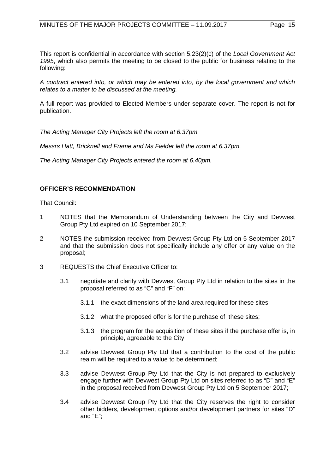This report is confidential in accordance with section 5.23(2)(c) of the *Local Government Act 1995*, which also permits the meeting to be closed to the public for business relating to the following:

*A contract entered into, or which may be entered into, by the local government and which relates to a matter to be discussed at the meeting.*

A full report was provided to Elected Members under separate cover. The report is not for publication.

*The Acting Manager City Projects left the room at 6.37pm.* 

*Messrs Hatt, Bricknell and Frame and Ms Fielder left the room at 6.37pm.*

*The Acting Manager City Projects entered the room at 6.40pm.* 

# **OFFICER'S RECOMMENDATION**

That Council:

- 1 NOTES that the Memorandum of Understanding between the City and Devwest Group Pty Ltd expired on 10 September 2017;
- 2 NOTES the submission received from Devwest Group Pty Ltd on 5 September 2017 and that the submission does not specifically include any offer or any value on the proposal;
- 3 REQUESTS the Chief Executive Officer to:
	- 3.1 negotiate and clarify with Devwest Group Pty Ltd in relation to the sites in the proposal referred to as "C" and "F" on:
		- 3.1.1 the exact dimensions of the land area required for these sites;
		- 3.1.2 what the proposed offer is for the purchase of these sites;
		- 3.1.3 the program for the acquisition of these sites if the purchase offer is, in principle, agreeable to the City;
	- 3.2 advise Devwest Group Pty Ltd that a contribution to the cost of the public realm will be required to a value to be determined;
	- 3.3 advise Devwest Group Pty Ltd that the City is not prepared to exclusively engage further with Devwest Group Pty Ltd on sites referred to as "D" and "E" in the proposal received from Devwest Group Pty Ltd on 5 September 2017;
	- 3.4 advise Devwest Group Pty Ltd that the City reserves the right to consider other bidders, development options and/or development partners for sites "D" and "E";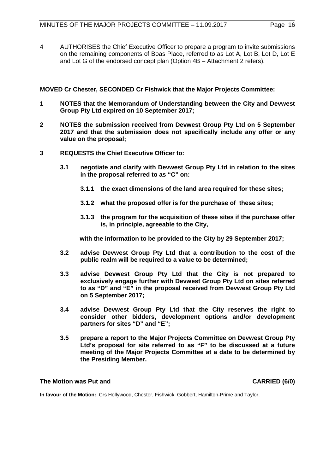4 AUTHORISES the Chief Executive Officer to prepare a program to invite submissions on the remaining components of Boas Place, referred to as Lot A, Lot B, Lot D, Lot E and Lot G of the endorsed concept plan (Option 4B – Attachment 2 refers).

**MOVED Cr Chester, SECONDED Cr Fishwick that the Major Projects Committee:**

- **1 NOTES that the Memorandum of Understanding between the City and Devwest Group Pty Ltd expired on 10 September 2017;**
- **2 NOTES the submission received from Devwest Group Pty Ltd on 5 September 2017 and that the submission does not specifically include any offer or any value on the proposal;**
- **3 REQUESTS the Chief Executive Officer to:**
	- **3.1 negotiate and clarify with Devwest Group Pty Ltd in relation to the sites in the proposal referred to as "C" on:**
		- **3.1.1 the exact dimensions of the land area required for these sites;**
		- **3.1.2 what the proposed offer is for the purchase of these sites;**
		- **3.1.3 the program for the acquisition of these sites if the purchase offer is, in principle, agreeable to the City,**

**with the information to be provided to the City by 29 September 2017;**

- **3.2 advise Devwest Group Pty Ltd that a contribution to the cost of the public realm will be required to a value to be determined;**
- **3.3 advise Devwest Group Pty Ltd that the City is not prepared to exclusively engage further with Devwest Group Pty Ltd on sites referred to as "D" and "E" in the proposal received from Devwest Group Pty Ltd on 5 September 2017;**
- **3.4 advise Devwest Group Pty Ltd that the City reserves the right to consider other bidders, development options and/or development partners for sites "D" and "E";**
- **3.5 prepare a report to the Major Projects Committee on Devwest Group Pty Ltd's proposal for site referred to as "F" to be discussed at a future meeting of the Major Projects Committee at a date to be determined by the Presiding Member.**

### **The Motion was Put and CARRIED (6/0)**

**In favour of the Motion:** Crs Hollywood, Chester, Fishwick, Gobbert, Hamilton-Prime and Taylor.